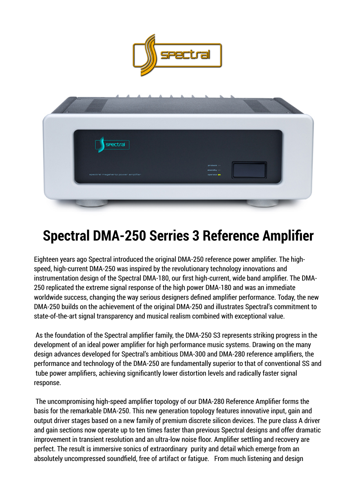



# **Spectral DMA-250 Serries 3 Reference Amplifier**

Eighteen years ago Spectral introduced the original DMA-250 reference power amplifier. The highspeed, high-current DMA-250 was inspired by the revolutionary technology innovations and instrumentation design of the Spectral DMA-180, our first high-current, wide band amplifier. The DMA-250 replicated the extreme signal response of the high power DMA-180 and was an immediate worldwide success, changing the way serious designers defined amplifier performance. Today, the new DMA-250 builds on the achievement of the original DMA-250 and illustrates Spectral's commitment to state-of-the-art signal transparency and musical realism combined with exceptional value.

As the foundation of the Spectral amplifier family, the DMA-250 S3 represents striking progress in the development of an ideal power amplifier for high performance music systems. Drawing on the many design advances developed for Spectral's ambitious DMA-300 and DMA-280 reference amplifiers, the performance and technology of the DMA-250 are fundamentally superior to that of conventional SS and tube power amplifiers, achieving significantly lower distortion levels and radically faster signal response.

The uncompromising high-speed amplifier topology of our DMA-280 Reference Amplifier forms the basis for the remarkable DMA-250. This new generation topology features innovative input, gain and output driver stages based on a new family of premium discrete silicon devices. The pure class A driver and gain sections now operate up to ten times faster than previous Spectral designs and offer dramatic improvement in transient resolution and an ultra-low noise floor. Amplifier settling and recovery are perfect. The result is immersive sonics of extraordinary purity and detail which emerge from an absolutely uncompressed soundfield, free of artifact or fatigue. From much listening and design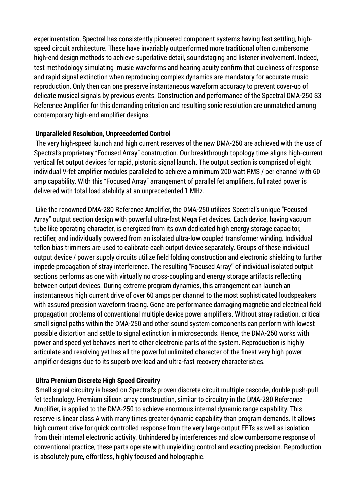experimentation, Spectral has consistently pioneered component systems having fast settling, highspeed circuit architecture. These have invariably outperformed more traditional often cumbersome high-end design methods to achieve superlative detail, soundstaging and listener involvement. Indeed, test methodology simulating music waveforms and hearing acuity confirm that quickness of response and rapid signal extinction when reproducing complex dynamics are mandatory for accurate music reproduction. Only then can one preserve instantaneous waveform accuracy to prevent cover-up of delicate musical signals by previous events. Construction and performance of the Spectral DMA-250 S3 Reference Amplifier for this demanding criterion and resulting sonic resolution are unmatched among contemporary high-end amplifier designs.

#### **Unparalleled Resolution, Unprecedented Control**

The very high-speed launch and high current reserves of the new DMA-250 are achieved with the use of Spectral's proprietary "Focused Array" construction. Our breakthrough topology time aligns high-current vertical fet output devices for rapid, pistonic signal launch. The output section is comprised of eight individual V-fet amplifier modules paralleled to achieve a minimum 200 watt RMS / per channel with 60 amp capability. With this "Focused Array" arrangement of parallel fet amplifiers, full rated power is delivered with total load stability at an unprecedented 1 MHz.

Like the renowned DMA-280 Reference Amplifier, the DMA-250 utilizes Spectral's unique "Focused Array" output section design with powerful ultra-fast Mega Fet devices. Each device, having vacuum tube like operating character, is energized from its own dedicated high energy storage capacitor, rectifier, and individually powered from an isolated ultra-low coupled transformer winding. Individual teflon bias trimmers are used to calibrate each output device separately. Groups of these individual output device / power supply circuits utilize field folding construction and electronic shielding to further impede propagation of stray interference. The resulting "Focused Array" of individual isolated output sections performs as one with virtually no cross-coupling and energy storage artifacts reflecting between output devices. During extreme program dynamics, this arrangement can launch an instantaneous high current drive of over 60 amps per channel to the most sophisticated loudspeakers with assured precision waveform tracing. Gone are performance damaging magnetic and electrical field propagation problems of conventional multiple device power amplifiers. Without stray radiation, critical small signal paths within the DMA-250 and other sound system components can perform with lowest possible distortion and settle to signal extinction in microseconds. Hence, the DMA-250 works with power and speed yet behaves inert to other electronic parts of the system. Reproduction is highly articulate and resolving yet has all the powerful unlimited character of the finest very high power amplifier designs due to its superb overload and ultra-fast recovery characteristics.

# **Ultra Premium Discrete High Speed Circuitry**

Small signal circuitry is based on Spectral's proven discrete circuit multiple cascode, double push-pull fet technology. Premium silicon array construction, similar to circuitry in the DMA-280 Reference Amplifier, is applied to the DMA-250 to achieve enormous internal dynamic range capability. This reserve is linear class A with many times greater dynamic capability than program demands. It allows high current drive for quick controlled response from the very large output FETs as well as isolation from their internal electronic activity. Unhindered by interferences and slow cumbersome response of conventional practice, these parts operate with unyielding control and exacting precision. Reproduction is absolutely pure, effortless, highly focused and holographic.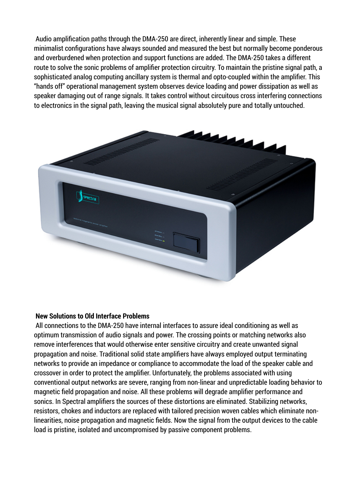Audio amplification paths through the DMA-250 are direct, inherently linear and simple. These minimalist configurations have always sounded and measured the best but normally become ponderous and overburdened when protection and support functions are added. The DMA-250 takes a different route to solve the sonic problems of amplifier protection circuitry. To maintain the pristine signal path, a sophisticated analog computing ancillary system is thermal and opto-coupled within the amplifier. This "hands off" operational management system observes device loading and power dissipation as well as speaker damaging out of range signals. It takes control without circuitous cross interfering connections to electronics in the signal path, leaving the musical signal absolutely pure and totally untouched.



#### **New Solutions to Old Interface Problems**

All connections to the DMA-250 have internal interfaces to assure ideal conditioning as well as optimum transmission of audio signals and power. The crossing points or matching networks also remove interferences that would otherwise enter sensitive circuitry and create unwanted signal propagation and noise. Traditional solid state amplifiers have always employed output terminating networks to provide an impedance or compliance to accommodate the load of the speaker cable and crossover in order to protect the amplifier. Unfortunately, the problems associated with using conventional output networks are severe, ranging from non-linear and unpredictable loading behavior to magnetic field propagation and noise. All these problems will degrade amplifier performance and sonics. In Spectral amplifiers the sources of these distortions are eliminated. Stabilizing networks, resistors, chokes and inductors are replaced with tailored precision woven cables which eliminate nonlinearities, noise propagation and magnetic fields. Now the signal from the output devices to the cable load is pristine, isolated and uncompromised by passive component problems.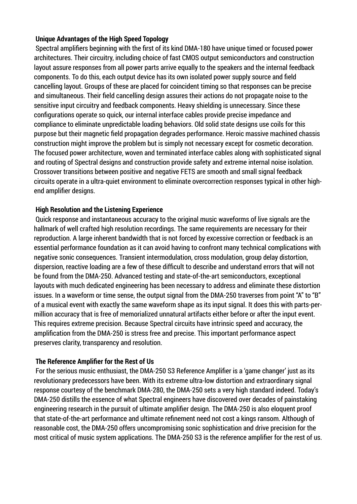#### **Unique Advantages of the High Speed Topology**

Spectral amplifiers beginning with the first of its kind DMA-180 have unique timed or focused power architectures. Their circuitry, including choice of fast CMOS output semiconductors and construction layout assure responses from all power parts arrive equally to the speakers and the internal feedback components. To do this, each output device has its own isolated power supply source and field cancelling layout. Groups of these are placed for coincident timing so that responses can be precise and simultaneous. Their field cancelling design assures their actions do not propagate noise to the sensitive input circuitry and feedback components. Heavy shielding is unnecessary. Since these configurations operate so quick, our internal interface cables provide precise impedance and compliance to eliminate unpredictable loading behaviors. Old solid state designs use coils for this purpose but their magnetic field propagation degrades performance. Heroic massive machined chassis construction might improve the problem but is simply not necessary except for cosmetic decoration. The focused power architecture, woven and terminated interface cables along with sophisticated signal and routing of Spectral designs and construction provide safety and extreme internal noise isolation. Crossover transitions between positive and negative FETS are smooth and small signal feedback circuits operate in a ultra-quiet environment to eliminate overcorrection responses typical in other highend amplifier designs.

#### **High Resolution and the Listening Experience**

Quick response and instantaneous accuracy to the original music waveforms of live signals are the hallmark of well crafted high resolution recordings. The same requirements are necessary for their reproduction. A large inherent bandwidth that is not forced by excessive correction or feedback is an essential performance foundation as it can avoid having to confront many technical complications with negative sonic consequences. Transient intermodulation, cross modulation, group delay distortion, dispersion, reactive loading are a few of these difficult to describe and understand errors that will not be found from the DMA-250. Advanced testing and state-of-the-art semiconductors, exceptional layouts with much dedicated engineering has been necessary to address and eliminate these distortion issues. In a waveform or time sense, the output signal from the DMA-250 traverses from point "A" to "B" of a musical event with exactly the same waveform shape as its input signal. It does this with parts-permillion accuracy that is free of memorialized unnatural artifacts either before or after the input event. This requires extreme precision. Because Spectral circuits have intrinsic speed and accuracy, the amplification from the DMA-250 is stress free and precise. This important performance aspect preserves clarity, transparency and resolution.

#### **The Reference Amplifier for the Rest of Us**

For the serious music enthusiast, the DMA-250 S3 Reference Amplifier is a 'game changer' just as its revolutionary predecessors have been. With its extreme ultra-low distortion and extraordinary signal response courtesy of the benchmark DMA-280, the DMA-250 sets a very high standard indeed. Today's DMA-250 distills the essence of what Spectral engineers have discovered over decades of painstaking engineering research in the pursuit of ultimate amplifier design. The DMA-250 is also eloquent proof that state-of-the-art performance and ultimate refinement need not cost a kings ransom. Although of reasonable cost, the DMA-250 offers uncompromising sonic sophistication and drive precision for the most critical of music system applications. The DMA-250 S3 is the reference amplifier for the rest of us.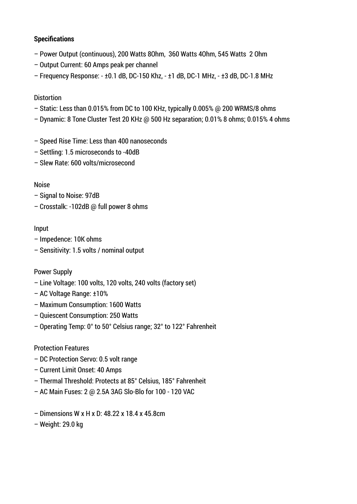### **Specifications**

- Power Output (continuous), 200 Watts 8Ohm, 360 Watts 4Ohm, 545 Watts 2 Ohm
- Output Current: 60 Amps peak per channel
- Frequency Response: ±0.1 dB, DC-150 Khz, ±1 dB, DC-1 MHz, ±3 dB, DC-1.8 MHz

## **Distortion**

- Static: Less than 0.015% from DC to 100 KHz, typically 0.005% @ 200 WRMS/8 ohms
- Dynamic: 8 Tone Cluster Test 20 KHz @ 500 Hz separation; 0.01% 8 ohms; 0.015% 4 ohms
- Speed Rise Time: Less than 400 nanoseconds
- Settling: 1.5 microseconds to -40dB
- Slew Rate: 600 volts/microsecond

## Noise

- Signal to Noise: 97dB
- Crosstalk: -102dB @ full power 8 ohms

# Input

- Impedence: 10K ohms
- Sensitivity: 1.5 volts / nominal output

#### Power Supply

- Line Voltage: 100 volts, 120 volts, 240 volts (factory set)
- AC Voltage Range: ±10%
- Maximum Consumption: 1600 Watts
- Quiescent Consumption: 250 Watts
- Operating Temp: 0° to 50° Celsius range; 32° to 122° Fahrenheit

# Protection Features

- DC Protection Servo: 0.5 volt range
- Current Limit Onset: 40 Amps
- Thermal Threshold: Protects at 85° Celsius, 185° Fahrenheit
- AC Main Fuses: 2 @ 2.5A 3AG Slo-Blo for 100 120 VAC
- Dimensions W x H x D: 48.22 x 18.4 x 45.8cm
- Weight: 29.0 kg